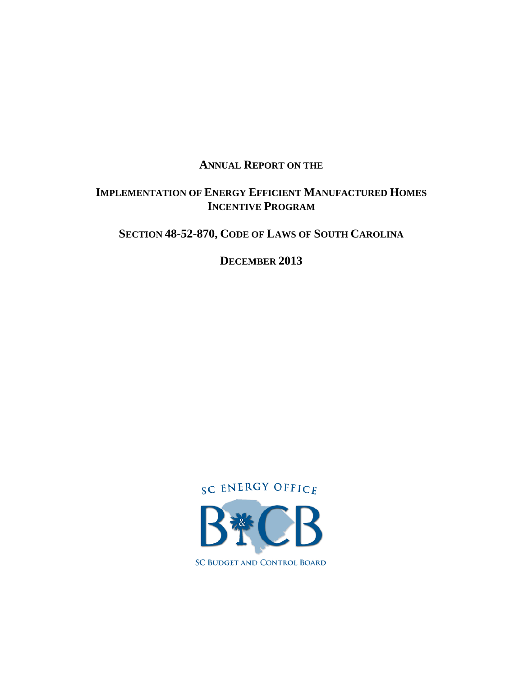## **ANNUAL REPORT ON THE**

## **IMPLEMENTATION OF ENERGY EFFICIENT MANUFACTURED HOMES INCENTIVE PROGRAM**

## **SECTION 48-52-870, CODE OF LAWS OF SOUTH CAROLINA**

**DECEMBER 2013** 

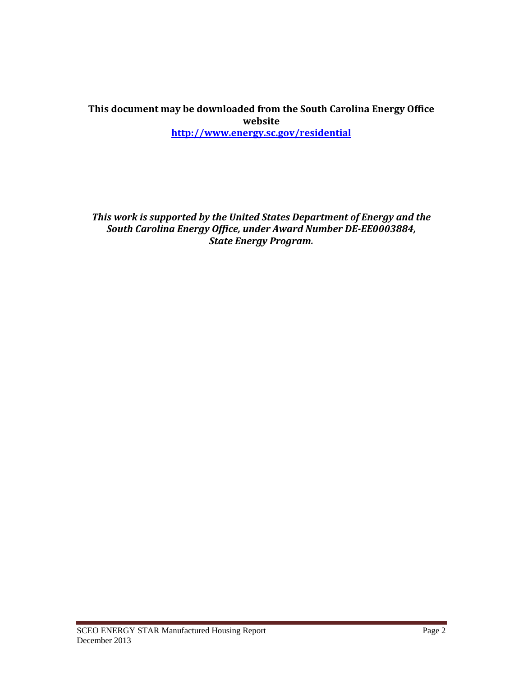#### **This document may be downloaded from the South Carolina Energy Office website http://www.energy.sc.gov/residential**

*This work is supported by the United States Department of Energy and the South Carolina Energy Office, under Award Number DE‐EE0003884, State Energy Program.*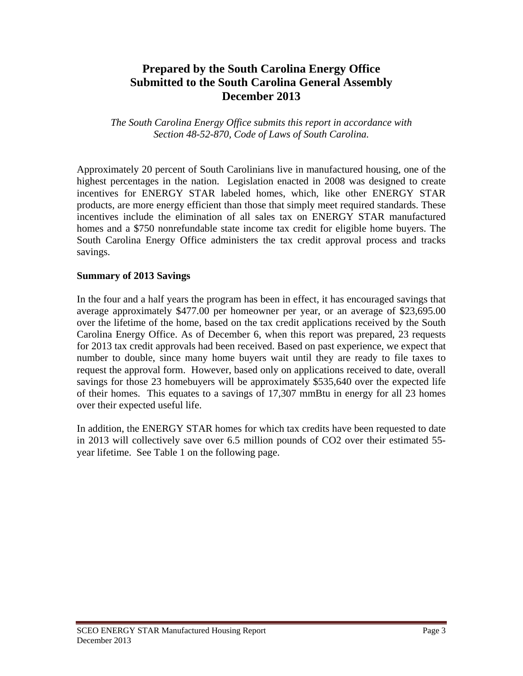## **Prepared by the South Carolina Energy Office Submitted to the South Carolina General Assembly December 2013**

*The South Carolina Energy Office submits this report in accordance with Section 48-52-870, Code of Laws of South Carolina.* 

Approximately 20 percent of South Carolinians live in manufactured housing, one of the highest percentages in the nation. Legislation enacted in 2008 was designed to create incentives for ENERGY STAR labeled homes, which, like other ENERGY STAR products, are more energy efficient than those that simply meet required standards. These incentives include the elimination of all sales tax on ENERGY STAR manufactured homes and a \$750 nonrefundable state income tax credit for eligible home buyers. The South Carolina Energy Office administers the tax credit approval process and tracks savings.

#### **Summary of 2013 Savings**

In the four and a half years the program has been in effect, it has encouraged savings that average approximately \$477.00 per homeowner per year, or an average of \$23,695.00 over the lifetime of the home, based on the tax credit applications received by the South Carolina Energy Office. As of December 6, when this report was prepared, 23 requests for 2013 tax credit approvals had been received. Based on past experience, we expect that number to double, since many home buyers wait until they are ready to file taxes to request the approval form. However, based only on applications received to date, overall savings for those 23 homebuyers will be approximately \$535,640 over the expected life of their homes. This equates to a savings of 17,307 mmBtu in energy for all 23 homes over their expected useful life.

In addition, the ENERGY STAR homes for which tax credits have been requested to date in 2013 will collectively save over 6.5 million pounds of CO2 over their estimated 55 year lifetime. See Table 1 on the following page.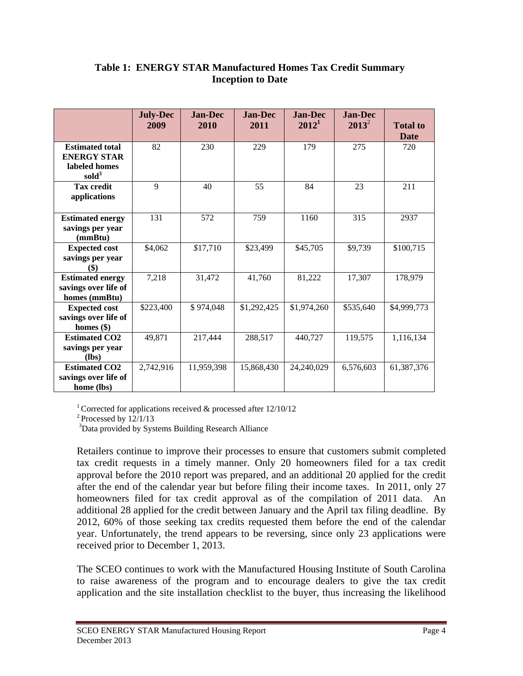|                                                                                  | <b>July-Dec</b><br>2009 | <b>Jan-Dec</b><br>2010 | <b>Jan-Dec</b><br>2011 | <b>Jan-Dec</b><br>$2012^1$ | <b>Jan-Dec</b><br>$2013^2$ | <b>Total to</b><br><b>Date</b> |
|----------------------------------------------------------------------------------|-------------------------|------------------------|------------------------|----------------------------|----------------------------|--------------------------------|
| <b>Estimated total</b><br><b>ENERGY STAR</b><br>labeled homes<br>$\text{cold}^3$ | 82                      | 230                    | 229                    | 179                        | 275                        | 720                            |
| <b>Tax credit</b><br>applications                                                | 9                       | 40                     | 55                     | 84                         | 23                         | 211                            |
| <b>Estimated energy</b><br>savings per year<br>(mmBtu)                           | 131                     | 572                    | 759                    | 1160                       | 315                        | 2937                           |
| <b>Expected cost</b><br>savings per year<br>(\$)                                 | \$4,062                 | \$17,710               | \$23,499               | \$45,705                   | \$9,739                    | \$100,715                      |
| <b>Estimated energy</b><br>savings over life of<br>homes (mmBtu)                 | 7,218                   | 31,472                 | 41,760                 | 81,222                     | 17,307                     | 178,979                        |
| <b>Expected cost</b><br>savings over life of<br>homes $(\$)$                     | \$223,400               | \$974,048              | \$1,292,425            | \$1,974,260                | \$535,640                  | \$4,999,773                    |
| <b>Estimated CO2</b><br>savings per year<br>(lbs)                                | 49,871                  | 217,444                | 288,517                | 440,727                    | 119,575                    | 1,116,134                      |
| <b>Estimated CO2</b><br>savings over life of<br>home (lbs)                       | 2,742,916               | 11,959,398             | 15,868,430             | 24,240,029                 | 6,576,603                  | 61,387,376                     |

### **Table 1: ENERGY STAR Manufactured Homes Tax Credit Summary Inception to Date**

<sup>1</sup> Corrected for applications received  $\&$  processed after 12/10/12

 $2$ Processed by  $12/1/13$ 

<sup>3</sup>Data provided by Systems Building Research Alliance

Retailers continue to improve their processes to ensure that customers submit completed tax credit requests in a timely manner. Only 20 homeowners filed for a tax credit approval before the 2010 report was prepared, and an additional 20 applied for the credit after the end of the calendar year but before filing their income taxes. In 2011, only 27 homeowners filed for tax credit approval as of the compilation of 2011 data. An additional 28 applied for the credit between January and the April tax filing deadline. By 2012, 60% of those seeking tax credits requested them before the end of the calendar year. Unfortunately, the trend appears to be reversing, since only 23 applications were received prior to December 1, 2013.

The SCEO continues to work with the Manufactured Housing Institute of South Carolina to raise awareness of the program and to encourage dealers to give the tax credit application and the site installation checklist to the buyer, thus increasing the likelihood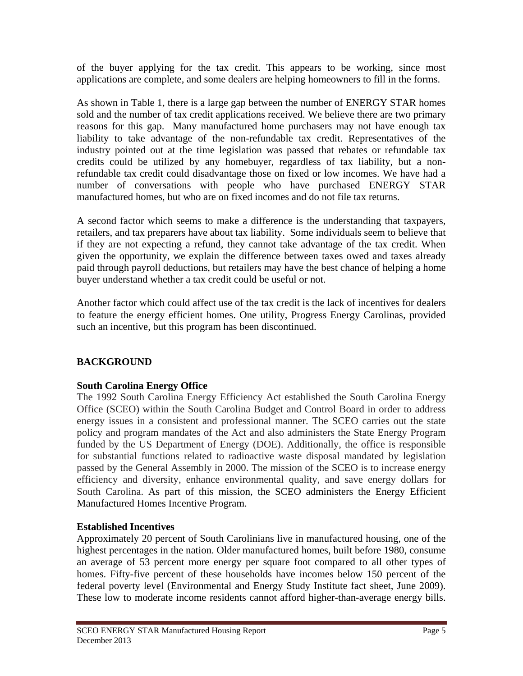of the buyer applying for the tax credit. This appears to be working, since most applications are complete, and some dealers are helping homeowners to fill in the forms.

As shown in Table 1, there is a large gap between the number of ENERGY STAR homes sold and the number of tax credit applications received. We believe there are two primary reasons for this gap. Many manufactured home purchasers may not have enough tax liability to take advantage of the non-refundable tax credit. Representatives of the industry pointed out at the time legislation was passed that rebates or refundable tax credits could be utilized by any homebuyer, regardless of tax liability, but a nonrefundable tax credit could disadvantage those on fixed or low incomes. We have had a number of conversations with people who have purchased ENERGY STAR manufactured homes, but who are on fixed incomes and do not file tax returns.

A second factor which seems to make a difference is the understanding that taxpayers, retailers, and tax preparers have about tax liability. Some individuals seem to believe that if they are not expecting a refund, they cannot take advantage of the tax credit. When given the opportunity, we explain the difference between taxes owed and taxes already paid through payroll deductions, but retailers may have the best chance of helping a home buyer understand whether a tax credit could be useful or not.

Another factor which could affect use of the tax credit is the lack of incentives for dealers to feature the energy efficient homes. One utility, Progress Energy Carolinas, provided such an incentive, but this program has been discontinued.

## **BACKGROUND**

### **South Carolina Energy Office**

The 1992 South Carolina Energy Efficiency Act established the South Carolina Energy Office (SCEO) within the South Carolina Budget and Control Board in order to address energy issues in a consistent and professional manner. The SCEO carries out the state policy and program mandates of the Act and also administers the State Energy Program funded by the US Department of Energy (DOE). Additionally, the office is responsible for substantial functions related to radioactive waste disposal mandated by legislation passed by the General Assembly in 2000. The mission of the SCEO is to increase energy efficiency and diversity, enhance environmental quality, and save energy dollars for South Carolina. As part of this mission, the SCEO administers the Energy Efficient Manufactured Homes Incentive Program.

### **Established Incentives**

Approximately 20 percent of South Carolinians live in manufactured housing, one of the highest percentages in the nation. Older manufactured homes, built before 1980, consume an average of 53 percent more energy per square foot compared to all other types of homes. Fifty-five percent of these households have incomes below 150 percent of the federal poverty level (Environmental and Energy Study Institute fact sheet, June 2009). These low to moderate income residents cannot afford higher-than-average energy bills.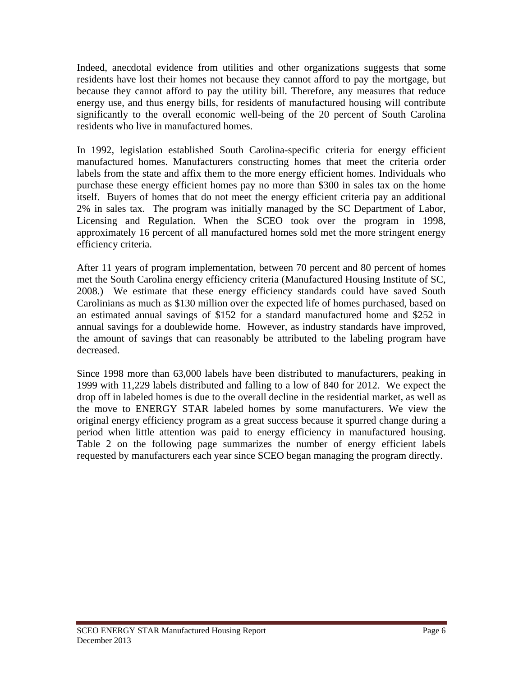Indeed, anecdotal evidence from utilities and other organizations suggests that some residents have lost their homes not because they cannot afford to pay the mortgage, but because they cannot afford to pay the utility bill. Therefore, any measures that reduce energy use, and thus energy bills, for residents of manufactured housing will contribute significantly to the overall economic well-being of the 20 percent of South Carolina residents who live in manufactured homes.

In 1992, legislation established South Carolina-specific criteria for energy efficient manufactured homes. Manufacturers constructing homes that meet the criteria order labels from the state and affix them to the more energy efficient homes. Individuals who purchase these energy efficient homes pay no more than \$300 in sales tax on the home itself. Buyers of homes that do not meet the energy efficient criteria pay an additional 2% in sales tax. The program was initially managed by the SC Department of Labor, Licensing and Regulation. When the SCEO took over the program in 1998, approximately 16 percent of all manufactured homes sold met the more stringent energy efficiency criteria.

After 11 years of program implementation, between 70 percent and 80 percent of homes met the South Carolina energy efficiency criteria (Manufactured Housing Institute of SC, 2008.) We estimate that these energy efficiency standards could have saved South Carolinians as much as \$130 million over the expected life of homes purchased, based on an estimated annual savings of \$152 for a standard manufactured home and \$252 in annual savings for a doublewide home. However, as industry standards have improved, the amount of savings that can reasonably be attributed to the labeling program have decreased.

Since 1998 more than 63,000 labels have been distributed to manufacturers, peaking in 1999 with 11,229 labels distributed and falling to a low of 840 for 2012. We expect the drop off in labeled homes is due to the overall decline in the residential market, as well as the move to ENERGY STAR labeled homes by some manufacturers. We view the original energy efficiency program as a great success because it spurred change during a period when little attention was paid to energy efficiency in manufactured housing. Table 2 on the following page summarizes the number of energy efficient labels requested by manufacturers each year since SCEO began managing the program directly.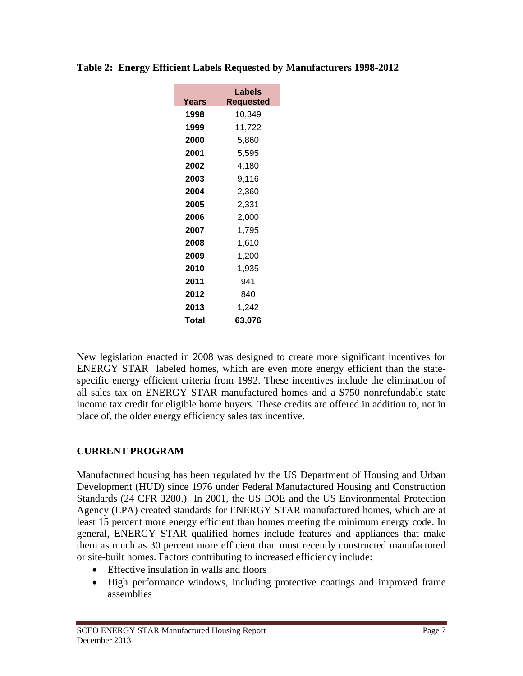| Years | Labels<br><b>Requested</b> |  |  |  |  |
|-------|----------------------------|--|--|--|--|
| 1998  | 10,349                     |  |  |  |  |
| 1999  | 11,722                     |  |  |  |  |
| 2000  | 5,860                      |  |  |  |  |
| 2001  | 5,595                      |  |  |  |  |
| 2002  | 4.180                      |  |  |  |  |
| 2003  | 9.116                      |  |  |  |  |
| 2004  | 2,360                      |  |  |  |  |
| 2005  | 2,331                      |  |  |  |  |
| 2006  | 2.000                      |  |  |  |  |
| 2007  | 1,795                      |  |  |  |  |
| 2008  | 1,610                      |  |  |  |  |
| 2009  | 1,200                      |  |  |  |  |
| 2010  | 1,935                      |  |  |  |  |
| 2011  | 941                        |  |  |  |  |
| 2012  | 840                        |  |  |  |  |
| 2013  | 1,242                      |  |  |  |  |
| Total | 63.076                     |  |  |  |  |

**Table 2: Energy Efficient Labels Requested by Manufacturers 1998-2012** 

New legislation enacted in 2008 was designed to create more significant incentives for ENERGY STAR labeled homes, which are even more energy efficient than the statespecific energy efficient criteria from 1992. These incentives include the elimination of all sales tax on ENERGY STAR manufactured homes and a \$750 nonrefundable state income tax credit for eligible home buyers. These credits are offered in addition to, not in place of, the older energy efficiency sales tax incentive.

## **CURRENT PROGRAM**

Manufactured housing has been regulated by the US Department of Housing and Urban Development (HUD) since 1976 under Federal Manufactured Housing and Construction Standards (24 CFR 3280.) In 2001, the US DOE and the US Environmental Protection Agency (EPA) created standards for ENERGY STAR manufactured homes, which are at least 15 percent more energy efficient than homes meeting the minimum energy code. In general, ENERGY STAR qualified homes include features and appliances that make them as much as 30 percent more efficient than most recently constructed manufactured or site-built homes. Factors contributing to increased efficiency include:

- Effective insulation in walls and floors
- High performance windows, including protective coatings and improved frame assemblies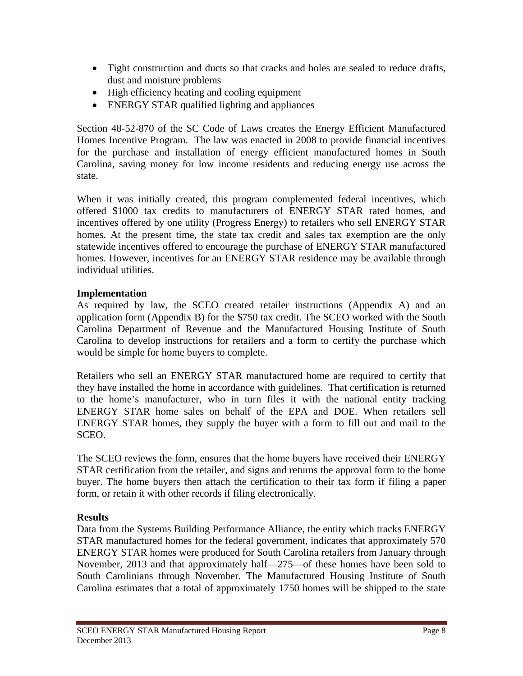- Tight construction and ducts so that cracks and holes are sealed to reduce drafts, dust and moisture problems
- High efficiency heating and cooling equipment
- ENERGY STAR qualified lighting and appliances

Section 48-52-870 of the SC Code of Laws creates the Energy Efficient Manufactured Homes Incentive Program. The law was enacted in 2008 to provide financial incentives for the purchase and installation of energy efficient manufactured homes in South Carolina, saving money for low income residents and reducing energy use across the state.

When it was initially created, this program complemented federal incentives, which offered \$1000 tax credits to manufacturers of ENERGY STAR rated homes, and incentives offered by one utility (Progress Energy) to retailers who sell ENERGY STAR homes. At the present time, the state tax credit and sales tax exemption are the only statewide incentives offered to encourage the purchase of ENERGY STAR manufactured homes. However, incentives for an ENERGY STAR residence may be available through individual utilities.

#### **Implementation**

As required by law, the SCEO created retailer instructions (Appendix A) and an application form (Appendix B) for the \$750 tax credit. The SCEO worked with the South Carolina Department of Revenue and the Manufactured Housing Institute of South Carolina to develop instructions for retailers and a form to certify the purchase which would be simple for home buyers to complete.

Retailers who sell an ENERGY STAR manufactured home are required to certify that they have installed the home in accordance with guidelines. That certification is returned to the home's manufacturer, who in turn files it with the national entity tracking ENERGY STAR home sales on behalf of the EPA and DOE. When retailers sell ENERGY STAR homes, they supply the buyer with a form to fill out and mail to the SCEO.

The SCEO reviews the form, ensures that the home buyers have received their ENERGY STAR certification from the retailer, and signs and returns the approval form to the home buyer. The home buyers then attach the certification to their tax form if filing a paper form, or retain it with other records if filing electronically.

#### **Results**

Data from the Systems Building Performance Alliance, the entity which tracks ENERGY STAR manufactured homes for the federal government, indicates that approximately 570 ENERGY STAR homes were produced for South Carolina retailers from January through November, 2013 and that approximately half—275—of these homes have been sold to South Carolinians through November. The Manufactured Housing Institute of South Carolina estimates that a total of approximately 1750 homes will be shipped to the state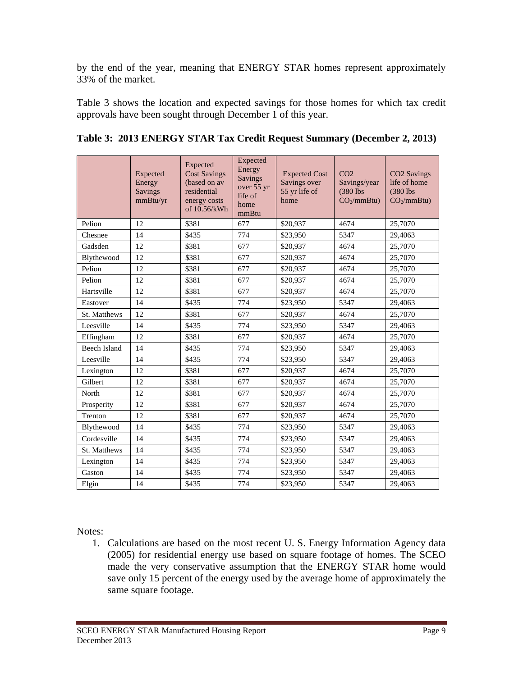by the end of the year, meaning that ENERGY STAR homes represent approximately 33% of the market.

Table 3 shows the location and expected savings for those homes for which tax credit approvals have been sought through December 1 of this year.

|                     | Expected<br>Energy<br><b>Savings</b><br>mmBtu/yr | Expected<br><b>Cost Savings</b><br>(based on av<br>residential<br>energy costs<br>of 10.56/kWh | Expected<br>Energy<br><b>Savings</b><br>over 55 yr<br>life of<br>home<br>mmBtu | <b>Expected Cost</b><br>Savings over<br>55 yr life of<br>home | CO <sub>2</sub><br>Savings/year<br>(380 lbs)<br>CO <sub>2</sub> /mmBtu) | CO2 Savings<br>life of home<br>(380 lbs)<br>CO <sub>2</sub> /mmBtu) |
|---------------------|--------------------------------------------------|------------------------------------------------------------------------------------------------|--------------------------------------------------------------------------------|---------------------------------------------------------------|-------------------------------------------------------------------------|---------------------------------------------------------------------|
| Pelion              | 12                                               | \$381                                                                                          | 677                                                                            | \$20,937                                                      | 4674                                                                    | 25,7070                                                             |
| Chesnee             | 14                                               | \$435                                                                                          | 774                                                                            | \$23,950                                                      | 5347                                                                    | 29,4063                                                             |
| Gadsden             | 12                                               | \$381                                                                                          | 677                                                                            | \$20,937                                                      | 4674                                                                    | 25,7070                                                             |
| Blythewood          | 12                                               | \$381                                                                                          | 677                                                                            | \$20,937                                                      | 4674                                                                    | 25,7070                                                             |
| Pelion              | 12                                               | \$381                                                                                          | 677                                                                            | \$20,937                                                      | 4674                                                                    | 25,7070                                                             |
| Pelion              | 12                                               | \$381                                                                                          | 677                                                                            | \$20,937                                                      | 4674                                                                    | 25,7070                                                             |
| Hartsville          | 12                                               | \$381                                                                                          | 677                                                                            | \$20,937                                                      | 4674                                                                    | 25,7070                                                             |
| Eastover            | 14                                               | \$435                                                                                          | 774                                                                            | \$23,950                                                      | 5347                                                                    | 29,4063                                                             |
| St. Matthews        | 12                                               | \$381                                                                                          | 677                                                                            | \$20,937                                                      | 4674                                                                    | 25,7070                                                             |
| Leesville           | 14                                               | \$435                                                                                          | 774                                                                            | \$23,950                                                      | 5347                                                                    | 29,4063                                                             |
| Effingham           | 12                                               | \$381                                                                                          | 677                                                                            | \$20,937                                                      | 4674                                                                    | 25,7070                                                             |
| <b>Beech Island</b> | 14                                               | \$435                                                                                          | 774                                                                            | \$23,950                                                      | 5347                                                                    | 29,4063                                                             |
| Leesville           | 14                                               | \$435                                                                                          | 774                                                                            | \$23,950                                                      | 5347                                                                    | 29,4063                                                             |
| Lexington           | 12                                               | \$381                                                                                          | 677                                                                            | \$20,937                                                      | 4674                                                                    | 25,7070                                                             |
| Gilbert             | 12                                               | \$381                                                                                          | 677                                                                            | \$20,937                                                      | 4674                                                                    | 25,7070                                                             |
| North               | 12                                               | \$381                                                                                          | 677                                                                            | \$20,937                                                      | 4674                                                                    | 25,7070                                                             |
| Prosperity          | 12                                               | \$381                                                                                          | 677                                                                            | \$20,937                                                      | 4674                                                                    | 25,7070                                                             |
| Trenton             | 12                                               | \$381                                                                                          | 677                                                                            | \$20,937                                                      | 4674                                                                    | 25,7070                                                             |
| Blythewood          | 14                                               | \$435                                                                                          | 774                                                                            | \$23,950                                                      | 5347                                                                    | 29,4063                                                             |
| Cordesville         | 14                                               | \$435                                                                                          | 774                                                                            | \$23,950                                                      | 5347                                                                    | 29,4063                                                             |
| St. Matthews        | 14                                               | \$435                                                                                          | 774                                                                            | \$23,950                                                      | 5347                                                                    | 29,4063                                                             |
| Lexington           | 14                                               | \$435                                                                                          | 774                                                                            | \$23,950                                                      | 5347                                                                    | 29,4063                                                             |
| Gaston              | 14                                               | \$435                                                                                          | 774                                                                            | \$23,950                                                      | 5347                                                                    | 29,4063                                                             |
| Elgin               | 14                                               | \$435                                                                                          | 774                                                                            | \$23,950                                                      | 5347                                                                    | 29,4063                                                             |

| Table 3: 2013 ENERGY STAR Tax Credit Request Summary (December 2, 2013) |  |  |  |
|-------------------------------------------------------------------------|--|--|--|
|                                                                         |  |  |  |

Notes:

1. Calculations are based on the most recent U. S. Energy Information Agency data (2005) for residential energy use based on square footage of homes. The SCEO made the very conservative assumption that the ENERGY STAR home would save only 15 percent of the energy used by the average home of approximately the same square footage.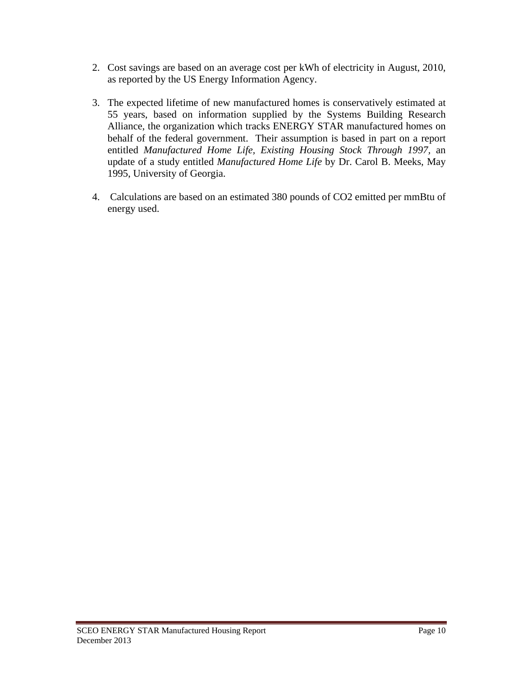- 2. Cost savings are based on an average cost per kWh of electricity in August, 2010, as reported by the US Energy Information Agency.
- 3. The expected lifetime of new manufactured homes is conservatively estimated at 55 years, based on information supplied by the Systems Building Research Alliance, the organization which tracks ENERGY STAR manufactured homes on behalf of the federal government. Their assumption is based in part on a report entitled *Manufactured Home Life, Existing Housing Stock Through 1997,* an update of a study entitled *Manufactured Home Life* by Dr. Carol B. Meeks, May 1995, University of Georgia.
- 4. Calculations are based on an estimated 380 pounds of CO2 emitted per mmBtu of energy used.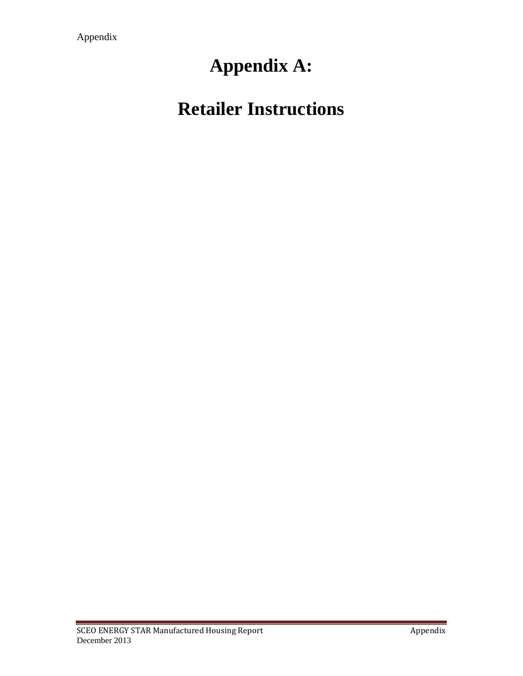## **Appendix A:**

## **Retailer Instructions**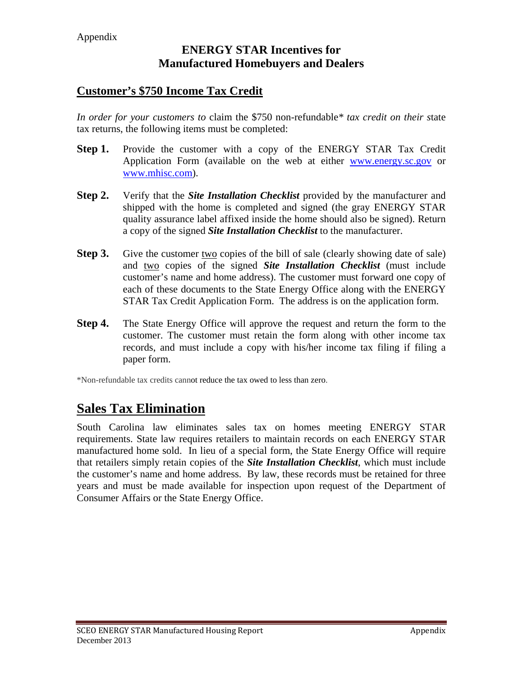#### Appendix

### **ENERGY STAR Incentives for Manufactured Homebuyers and Dealers**

## **Customer's \$750 Income Tax Credit**

*In order for your customers to* claim the \$750 non-refundable*\* tax credit on their s*tate tax returns, the following items must be completed:

- **Step 1.** Provide the customer with a copy of the ENERGY STAR Tax Credit Application Form (available on the web at either www.energy.sc.gov or www.mhisc.com).
- **Step 2.** Verify that the *Site Installation Checklist* provided by the manufacturer and shipped with the home is completed and signed (the gray ENERGY STAR quality assurance label affixed inside the home should also be signed). Return a copy of the signed *Site Installation Checklist* to the manufacturer.
- **Step 3.** Give the customer two copies of the bill of sale (clearly showing date of sale) and two copies of the signed *Site Installation Checklist* (must include customer's name and home address). The customer must forward one copy of each of these documents to the State Energy Office along with the ENERGY STAR Tax Credit Application Form. The address is on the application form.
- **Step 4.** The State Energy Office will approve the request and return the form to the customer. The customer must retain the form along with other income tax records, and must include a copy with his/her income tax filing if filing a paper form.

\*Non-refundable tax credits cannot reduce the tax owed to less than zero.

## **Sales Tax Elimination**

South Carolina law eliminates sales tax on homes meeting ENERGY STAR requirements. State law requires retailers to maintain records on each ENERGY STAR manufactured home sold. In lieu of a special form, the State Energy Office will require that retailers simply retain copies of the *Site Installation Checklist*, which must include the customer's name and home address. By law, these records must be retained for three years and must be made available for inspection upon request of the Department of Consumer Affairs or the State Energy Office.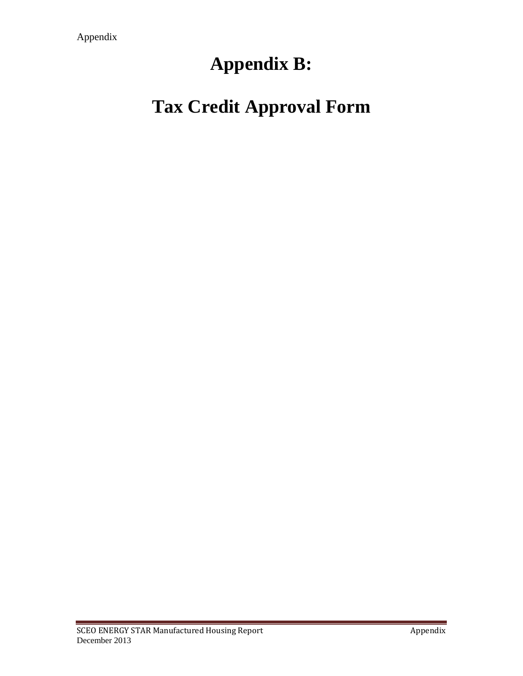## **Appendix B:**

# **Tax Credit Approval Form**